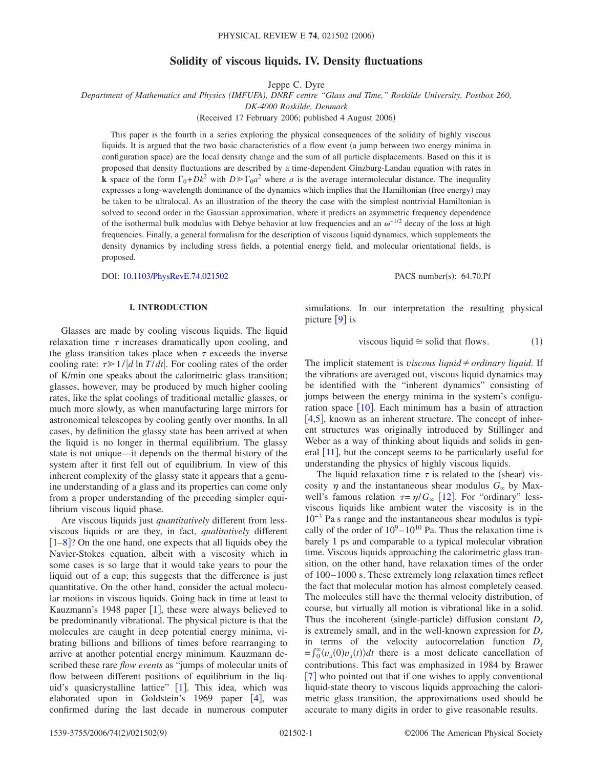# **Solidity of viscous liquids. IV. Density fluctuations**

Jeppe C. Dyre

*Department of Mathematics and Physics (IMFUFA), DNRF centre "Glass and Time," Roskilde University, Postbox 260,*

*DK-4000 Roskilde, Denmark*

(Received 17 February 2006; published 4 August 2006)

This paper is the fourth in a series exploring the physical consequences of the solidity of highly viscous liquids. It is argued that the two basic characteristics of a flow event (a jump between two energy minima in configuration space) are the local density change and the sum of all particle displacements. Based on this it is proposed that density fluctuations are described by a time-dependent Ginzburg-Landau equation with rates in **k** space of the form  $\Gamma_0 + Dk^2$  with  $D \ge \Gamma_0 a^2$  where *a* is the average intermolecular distance. The inequality expresses a long-wavelength dominance of the dynamics which implies that the Hamiltonian (free energy) may be taken to be ultralocal. As an illustration of the theory the case with the simplest nontrivial Hamiltonian is solved to second order in the Gaussian approximation, where it predicts an asymmetric frequency dependence of the isothermal bulk modulus with Debye behavior at low frequencies and an  $\omega^{-1/2}$  decay of the loss at high frequencies. Finally, a general formalism for the description of viscous liquid dynamics, which supplements the density dynamics by including stress fields, a potential energy field, and molecular orientational fields, is proposed.

DOI: [10.1103/PhysRevE.74.021502](http://dx.doi.org/10.1103/PhysRevE.74.021502)

#### **I. INTRODUCTION**

Glasses are made by cooling viscous liquids. The liquid relaxation time  $\tau$  increases dramatically upon cooling, and the glass transition takes place when  $\tau$  exceeds the inverse cooling rate:  $\tau \gg 1/|d \ln T/dt|$ . For cooling rates of the order of K/min one speaks about the calorimetric glass transition; glasses, however, may be produced by much higher cooling rates, like the splat coolings of traditional metallic glasses, or much more slowly, as when manufacturing large mirrors for astronomical telescopes by cooling gently over months. In all cases, by definition the glassy state has been arrived at when the liquid is no longer in thermal equilibrium. The glassy state is not unique—it depends on the thermal history of the system after it first fell out of equilibrium. In view of this inherent complexity of the glassy state it appears that a genuine understanding of a glass and its properties can come only from a proper understanding of the preceding simpler equilibrium viscous liquid phase.

Are viscous liquids just *quantitatively* different from lessviscous liquids or are they, in fact, *qualitatively* different  $\lceil 1-8 \rceil$  $\lceil 1-8 \rceil$  $\lceil 1-8 \rceil$ ? On the one hand, one expects that all liquids obey the Navier-Stokes equation, albeit with a viscosity which in some cases is so large that it would take years to pour the liquid out of a cup; this suggests that the difference is just quantitative. On the other hand, consider the actual molecular motions in viscous liquids. Going back in time at least to Kauzmann's [1](#page-8-0)948 paper  $\lceil 1 \rceil$ , these were always believed to be predominantly vibrational. The physical picture is that the molecules are caught in deep potential energy minima, vibrating billions and billions of times before rearranging to arrive at another potential energy minimum. Kauzmann described these rare *flow events* as "jumps of molecular units of flow between different positions of equilibrium in the liquid's quasicrystalline lattice"  $[1]$  $[1]$  $[1]$ . This idea, which was elaborated upon in Goldstein's  $1969$  paper  $[4]$  $[4]$  $[4]$ , was confirmed during the last decade in numerous computer PACS number(s): 64.70.Pf

simulations. In our interpretation the resulting physical picture  $[9]$  $[9]$  $[9]$  is

$$
viscous liquid \cong solid that flows. \tag{1}
$$

<span id="page-0-0"></span>The implicit statement is *viscous liquid*  $\neq$  *ordinary liquid*. If the vibrations are averaged out, viscous liquid dynamics may be identified with the "inherent dynamics" consisting of jumps between the energy minima in the system's configuration space  $\lceil 10 \rceil$  $\lceil 10 \rceil$  $\lceil 10 \rceil$ . Each minimum has a basin of attraction  $[4,5]$  $[4,5]$  $[4,5]$  $[4,5]$ , known as an inherent structure. The concept of inherent structures was originally introduced by Stillinger and Weber as a way of thinking about liquids and solids in general  $[11]$  $[11]$  $[11]$ , but the concept seems to be particularly useful for understanding the physics of highly viscous liquids.

The liquid relaxation time  $\tau$  is related to the (shear) viscosity  $\eta$  and the instantaneous shear modulus  $G_{\infty}$  by Maxwell's famous relation  $\tau = \eta/G_{\infty}$  [[12](#page-8-7)]. For "ordinary" lessviscous liquids like ambient water the viscosity is in the 10−3 Pa s range and the instantaneous shear modulus is typically of the order of  $10^9 - 10^{10}$  Pa. Thus the relaxation time is barely 1 ps and comparable to a typical molecular vibration time. Viscous liquids approaching the calorimetric glass transition, on the other hand, have relaxation times of the order of 100– 1000 s. These extremely long relaxation times reflect the fact that molecular motion has almost completely ceased. The molecules still have the thermal velocity distribution, of course, but virtually all motion is vibrational like in a solid. Thus the incoherent (single-particle) diffusion constant  $D_s$ is extremely small, and in the well-known expression for  $D<sub>s</sub>$ in terms of the velocity autocorrelation function  $D_s$  $=\int_0^{\infty} \langle v_x(0)v_x(t) \rangle dt$  there is a most delicate cancellation of contributions. This fact was emphasized in 1984 by Brawer  $\lceil 7 \rceil$  $\lceil 7 \rceil$  $\lceil 7 \rceil$  who pointed out that if one wishes to apply conventional liquid-state theory to viscous liquids approaching the calorimetric glass transition, the approximations used should be accurate to many digits in order to give reasonable results.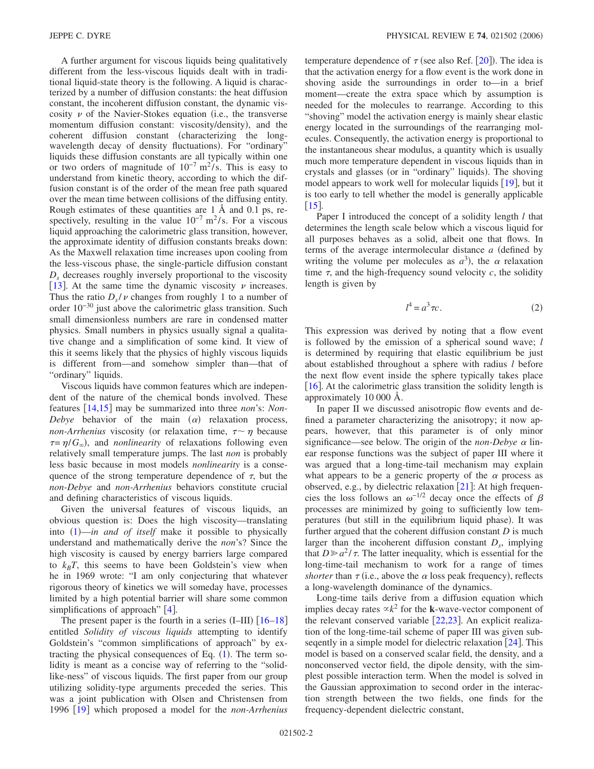A further argument for viscous liquids being qualitatively different from the less-viscous liquids dealt with in traditional liquid-state theory is the following. A liquid is characterized by a number of diffusion constants: the heat diffusion constant, the incoherent diffusion constant, the dynamic viscosity  $\nu$  of the Navier-Stokes equation (i.e., the transverse momentum diffusion constant: viscosity/density), and the coherent diffusion constant (characterizing the longwavelength decay of density fluctuations). For "ordinary" liquids these diffusion constants are all typically within one or two orders of magnitude of  $10^{-7}$  m<sup>2</sup>/s. This is easy to understand from kinetic theory, according to which the diffusion constant is of the order of the mean free path squared over the mean time between collisions of the diffusing entity. Rough estimates of these quantities are 1 Å and 0.1 ps, respectively, resulting in the value  $10^{-7}$  m<sup>2</sup>/s. For a viscous liquid approaching the calorimetric glass transition, however, the approximate identity of diffusion constants breaks down: As the Maxwell relaxation time increases upon cooling from the less-viscous phase, the single-particle diffusion constant *Ds* decreases roughly inversely proportional to the viscosity [[13](#page-8-9)]. At the same time the dynamic viscosity  $\nu$  increases. Thus the ratio  $D_s/v$  changes from roughly 1 to a number of order 10−30 just above the calorimetric glass transition. Such small dimensionless numbers are rare in condensed matter physics. Small numbers in physics usually signal a qualitative change and a simplification of some kind. It view of this it seems likely that the physics of highly viscous liquids is different from—and somehow simpler than—that of "ordinary" liquids.

Viscous liquids have common features which are independent of the nature of the chemical bonds involved. These features [[14,](#page-8-10)[15](#page-8-11)] may be summarized into three *non*'s: *Non*-Debye behavior of the main  $(\alpha)$  relaxation process, *non-Arrhenius* viscosity (or relaxation time,  $\tau \sim \eta$  because  $\tau = \eta/G_{\infty}$ ), and *nonlinearity* of relaxations following even relatively small temperature jumps. The last *non* is probably less basic because in most models *nonlinearity* is a consequence of the strong temperature dependence of  $\tau$ , but the *non-Debye* and *non-Arrhenius* behaviors constitute crucial and defining characteristics of viscous liquids.

Given the universal features of viscous liquids, an obvious question is: Does the high viscosity—translating into ([1](#page-0-0))—*in and of itself* make it possible to physically understand and mathematically derive the *non*'s? Since the high viscosity is caused by energy barriers large compared to  $k_B T$ , this seems to have been Goldstein's view when he in 1969 wrote: "I am only conjecturing that whatever rigorous theory of kinetics we will someday have, processes limited by a high potential barrier will share some common simplifications of approach"  $[4]$  $[4]$  $[4]$ .

The present paper is the fourth in a series  $(I-HI)$   $[16-18]$  $[16-18]$  $[16-18]$ entitled *Solidity of viscous liquids* attempting to identify Goldstein's "common simplifications of approach" by extracting the physical consequences of Eq.  $(1)$  $(1)$  $(1)$ . The term solidity is meant as a concise way of referring to the "solidlike-ness" of viscous liquids. The first paper from our group utilizing solidity-type arguments preceded the series. This was a joint publication with Olsen and Christensen from 1996 [19](#page-8-14) which proposed a model for the *non-Arrhenius*

temperature dependence of  $\tau$  (see also Ref. [[20](#page-8-15)]). The idea is that the activation energy for a flow event is the work done in shoving aside the surroundings in order to—in a brief moment—create the extra space which by assumption is needed for the molecules to rearrange. According to this "shoving" model the activation energy is mainly shear elastic energy located in the surroundings of the rearranging molecules. Consequently, the activation energy is proportional to the instantaneous shear modulus, a quantity which is usually much more temperature dependent in viscous liquids than in crystals and glasses (or in "ordinary" liquids). The shoving model appears to work well for molecular liquids  $[19]$  $[19]$  $[19]$ , but it is too early to tell whether the model is generally applicable [15](#page-8-11).

Paper I introduced the concept of a solidity length *l* that determines the length scale below which a viscous liquid for all purposes behaves as a solid, albeit one that flows. In terms of the average intermolecular distance  $a$  (defined by writing the volume per molecules as  $a^3$ ), the  $\alpha$  relaxation time  $\tau$ , and the high-frequency sound velocity  $c$ , the solidity length is given by

$$
l^4 = a^3 \tau c. \tag{2}
$$

This expression was derived by noting that a flow event is followed by the emission of a spherical sound wave; *l* is determined by requiring that elastic equilibrium be just about established throughout a sphere with radius *l* before the next flow event inside the sphere typically takes place [[16](#page-8-12)]. At the calorimetric glass transition the solidity length is approximately 10 000 Å.

In paper II we discussed anisotropic flow events and defined a parameter characterizing the anisotropy; it now appears, however, that this parameter is of only minor significance—see below. The origin of the *non-Debye*  $\alpha$  linear response functions was the subject of paper III where it was argued that a long-time-tail mechanism may explain what appears to be a generic property of the  $\alpha$  process as observed, e.g., by dielectric relaxation  $[21]$  $[21]$  $[21]$ : At high frequencies the loss follows an  $\omega^{-1/2}$  decay once the effects of  $\beta$ processes are minimized by going to sufficiently low temperatures (but still in the equilibrium liquid phase). It was further argued that the coherent diffusion constant *D* is much larger than the incoherent diffusion constant  $D_s$ , implying that  $D \ge a^2 / \tau$ . The latter inequality, which is essential for the long-time-tail mechanism to work for a range of times *shorter* than  $\tau$  (i.e., above the  $\alpha$  loss peak frequency), reflects a long-wavelength dominance of the dynamics.

Long-time tails derive from a diffusion equation which implies decay rates  $\alpha k^2$  for the **k**-wave-vector component of the relevant conserved variable  $[22,23]$  $[22,23]$  $[22,23]$  $[22,23]$ . An explicit realization of the long-time-tail scheme of paper III was given subseqently in a simple model for dielectric relaxation  $\lceil 24 \rceil$  $\lceil 24 \rceil$  $\lceil 24 \rceil$ . This model is based on a conserved scalar field, the density, and a nonconserved vector field, the dipole density, with the simplest possible interaction term. When the model is solved in the Gaussian approximation to second order in the interaction strength between the two fields, one finds for the frequency-dependent dielectric constant,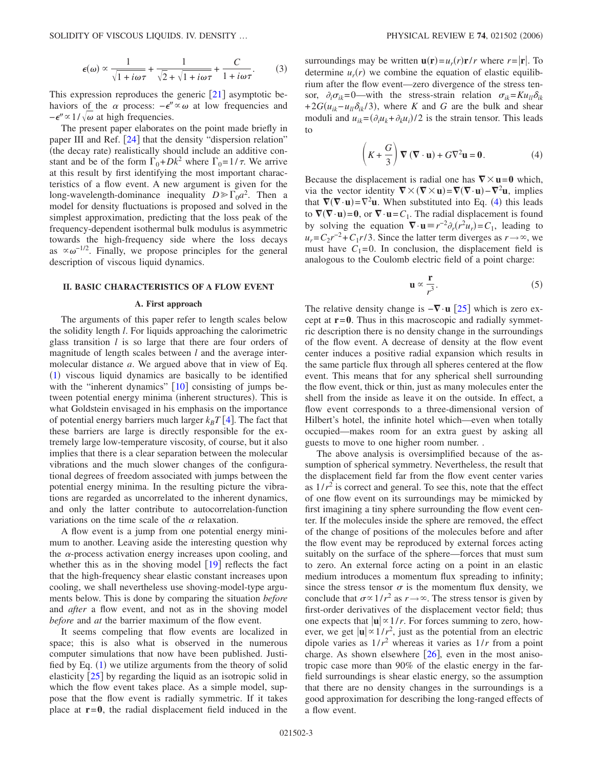This expression reproduces the generic  $\lceil 21 \rceil$  $\lceil 21 \rceil$  $\lceil 21 \rceil$  asymptotic behaviors of the  $\alpha$  process:  $-\epsilon'' \propto \omega$  at low frequencies and  $-\epsilon'' \propto 1/\sqrt{\omega}$  at high frequencies.

The present paper elaborates on the point made briefly in paper III and Ref.  $[24]$  $[24]$  $[24]$  that the density "dispersion relation" (the decay rate) realistically should include an additive constant and be of the form  $\Gamma_0 + Dk^2$  where  $\Gamma_0 = 1/\tau$ . We arrive at this result by first identifying the most important characteristics of a flow event. A new argument is given for the long-wavelength-dominance inequality  $D \gg \Gamma_0 a^2$ . Then a model for density fluctuations is proposed and solved in the simplest approximation, predicting that the loss peak of the frequency-dependent isothermal bulk modulus is asymmetric towards the high-frequency side where the loss decays as  $\propto \omega^{-1/2}$ . Finally, we propose principles for the general description of viscous liquid dynamics.

# **II. BASIC CHARACTERISTICS OF A FLOW EVENT**

## **A. First approach**

The arguments of this paper refer to length scales below the solidity length *l*. For liquids approaching the calorimetric glass transition *l* is so large that there are four orders of magnitude of length scales between *l* and the average intermolecular distance *a*. We argued above that in view of Eq. ([1](#page-0-0)) viscous liquid dynamics are basically to be identified with the "inherent dynamics"  $\lceil 10 \rceil$  $\lceil 10 \rceil$  $\lceil 10 \rceil$  consisting of jumps between potential energy minima (inherent structures). This is what Goldstein envisaged in his emphasis on the importance of potential energy barriers much larger  $k_BT[4]$  $k_BT[4]$  $k_BT[4]$ . The fact that these barriers are large is directly responsible for the extremely large low-temperature viscosity, of course, but it also implies that there is a clear separation between the molecular vibrations and the much slower changes of the configurational degrees of freedom associated with jumps between the potential energy minima. In the resulting picture the vibrations are regarded as uncorrelated to the inherent dynamics, and only the latter contribute to autocorrelation-function variations on the time scale of the  $\alpha$  relaxation.

A flow event is a jump from one potential energy minimum to another. Leaving aside the interesting question why the  $\alpha$ -process activation energy increases upon cooling, and whether this as in the shoving model  $[19]$  $[19]$  $[19]$  reflects the fact that the high-frequency shear elastic constant increases upon cooling, we shall nevertheless use shoving-model-type arguments below. This is done by comparing the situation *before* and *after* a flow event, and not as in the shoving model *before* and *at* the barrier maximum of the flow event.

It seems compeling that flow events are localized in space; this is also what is observed in the numerous computer simulations that now have been published. Justified by Eq.  $(1)$  $(1)$  $(1)$  we utilize arguments from the theory of solid elasticity  $\left[25\right]$  $\left[25\right]$  $\left[25\right]$  by regarding the liquid as an isotropic solid in which the flow event takes place. As a simple model, suppose that the flow event is radially symmetric. If it takes place at  $r=0$ , the radial displacement field induced in the

surroundings may be written  $\mathbf{u}(\mathbf{r}) = u_r(r)\mathbf{r}/r$  where  $r = |\mathbf{r}|$ . To determine  $u_r(r)$  we combine the equation of elastic equilibrium after the flow event—zero divergence of the stress tensor,  $\partial_i \sigma_{ik} = 0$ —with the stress-strain relation  $\sigma_{ik} = K u_{il} \delta_{ik}$  $+2G(u_{ik}-u_{ll}\delta_{ik}/3)$ , where *K* and *G* are the bulk and shear moduli and  $u_{ik} = (\partial_i u_k + \partial_k u_i)/2$  is the strain tensor. This leads to

$$
\left(K + \frac{G}{3}\right) \nabla \left(\nabla \cdot \mathbf{u}\right) + G \nabla^2 \mathbf{u} = \mathbf{0}.
$$
 (4)

<span id="page-2-0"></span>Because the displacement is radial one has  $\nabla \times \mathbf{u} = \mathbf{0}$  which, via the vector identity  $\nabla \times (\nabla \times \mathbf{u}) = \nabla (\nabla \cdot \mathbf{u}) - \nabla^2 \mathbf{u}$ , implies that  $\nabla(\nabla \cdot \mathbf{u}) = \nabla^2 \mathbf{u}$ . When substituted into Eq. ([4](#page-2-0)) this leads to  $\nabla(\nabla \cdot \mathbf{u}) = \mathbf{0}$ , or  $\nabla \cdot \mathbf{u} = C_1$ . The radial displacement is found by solving the equation  $\nabla \cdot \mathbf{u} = r^{-2} \partial_r (r^2 u_r) = C_1$ , leading to  $u_r = C_2 r^{-2} + C_1 r/3$ . Since the latter term diverges as  $r \rightarrow \infty$ , we must have  $C_1 = 0$ . In conclusion, the displacement field is analogous to the Coulomb electric field of a point charge:

$$
\mathbf{u} \propto \frac{\mathbf{r}}{r^3}.\tag{5}
$$

<span id="page-2-1"></span>The relative density change is  $-\nabla \cdot \mathbf{u}$  [[25](#page-8-20)] which is zero except at  $r=0$ . Thus in this macroscopic and radially symmetric description there is no density change in the surroundings of the flow event. A decrease of density at the flow event center induces a positive radial expansion which results in the same particle flux through all spheres centered at the flow event. This means that for any spherical shell surrounding the flow event, thick or thin, just as many molecules enter the shell from the inside as leave it on the outside. In effect, a flow event corresponds to a three-dimensional version of Hilbert's hotel, the infinite hotel which—even when totally occupied—makes room for an extra guest by asking all guests to move to one higher room number. .

The above analysis is oversimplified because of the assumption of spherical symmetry. Nevertheless, the result that the displacement field far from the flow event center varies as  $1/r^2$  is correct and general. To see this, note that the effect of one flow event on its surroundings may be mimicked by first imagining a tiny sphere surrounding the flow event center. If the molecules inside the sphere are removed, the effect of the change of positions of the molecules before and after the flow event may be reproduced by external forces acting suitably on the surface of the sphere—forces that must sum to zero. An external force acting on a point in an elastic medium introduces a momentum flux spreading to infinity; since the stress tensor  $\sigma$  is the momentum flux density, we conclude that  $\sigma \propto 1/r^2$  as  $r \to \infty$ . The stress tensor is given by first-order derivatives of the displacement vector field; thus one expects that  $|\mathbf{u}| \propto 1/r$ . For forces summing to zero, however, we get  $|\mathbf{u}| \propto 1/r^2$ , just as the potential from an electric dipole varies as  $1/r^2$  whereas it varies as  $1/r$  from a point charge. As shown elsewhere  $[26]$  $[26]$  $[26]$ , even in the most anisotropic case more than 90% of the elastic energy in the farfield surroundings is shear elastic energy, so the assumption that there are no density changes in the surroundings is a good approximation for describing the long-ranged effects of a flow event.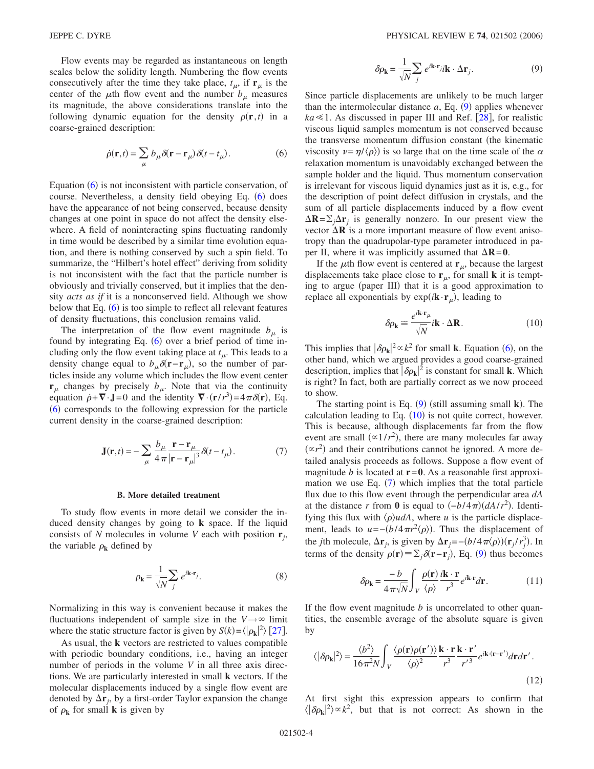Flow events may be regarded as instantaneous on length scales below the solidity length. Numbering the flow events consecutively after the time they take place,  $t_{\mu}$ , if  $\mathbf{r}_{\mu}$  is the center of the  $\mu$ th flow event and the number  $b_{\mu}$  measures its magnitude, the above considerations translate into the following dynamic equation for the density  $\rho(\mathbf{r},t)$  in a coarse-grained description:

$$
\dot{\rho}(\mathbf{r},t) = \sum_{\mu} b_{\mu} \delta(\mathbf{r} - \mathbf{r}_{\mu}) \delta(t - t_{\mu}).
$$
 (6)

<span id="page-3-0"></span>Equation  $(6)$  $(6)$  $(6)$  is not inconsistent with particle conservation, of course. Nevertheless, a density field obeying Eq. ([6](#page-3-0)) does have the appearance of not being conserved, because density changes at one point in space do not affect the density elsewhere. A field of noninteracting spins fluctuating randomly in time would be described by a similar time evolution equation, and there is nothing conserved by such a spin field. To summarize, the "Hilbert's hotel effect" deriving from solidity is not inconsistent with the fact that the particle number is obviously and trivially conserved, but it implies that the density *acts as if* it is a nonconserved field. Although we show below that Eq. ([6](#page-3-0)) is too simple to reflect all relevant features of density fluctuations, this conclusion remains valid.

The interpretation of the flow event magnitude  $b_{\mu}$  is found by integrating Eq. ([6](#page-3-0)) over a brief period of time including only the flow event taking place at  $t_{\mu}$ . This leads to a density change equal to  $b_{\mu} \delta(\mathbf{r} - \mathbf{r}_{\mu})$ , so the number of particles inside any volume which includes the flow event center  $\mathbf{r}_{\mu}$  changes by precisely  $b_{\mu}$ . Note that via the continuity equation  $\dot{\rho} + \nabla \cdot \mathbf{J} = 0$  and the identity  $\nabla \cdot (\mathbf{r}/r^3) = 4\pi \delta(\mathbf{r})$ , Eq. ([6](#page-3-0)) corresponds to the following expression for the particle current density in the coarse-grained description:

<span id="page-3-2"></span>
$$
\mathbf{J}(\mathbf{r},t) = -\sum_{\mu} \frac{b_{\mu}}{4\pi} \frac{\mathbf{r} - \mathbf{r}_{\mu}}{|\mathbf{r} - \mathbf{r}_{\mu}|^3} \delta(t - t_{\mu}).
$$
 (7)

#### **B. More detailed treatment**

To study flow events in more detail we consider the induced density changes by going to **k** space. If the liquid consists of *N* molecules in volume *V* each with position **r***j*, the variable  $\rho_k$  defined by

$$
\rho_{\mathbf{k}} = \frac{1}{\sqrt{N}} \sum_{j} e^{i\mathbf{k} \cdot \mathbf{r}_{j}}.
$$
 (8)

<span id="page-3-3"></span>Normalizing in this way is convenient because it makes the fluctuations independent of sample size in the  $V \rightarrow \infty$  limit where the static structure factor is given by  $S(k) = \langle |\rho_{\mathbf{k}}|^2 \rangle$  [[27](#page-8-22)].

As usual, the **k** vectors are restricted to values compatible with periodic boundary conditions, i.e., having an integer number of periods in the volume *V* in all three axis directions. We are particularly interested in small **k** vectors. If the molecular displacements induced by a single flow event are denoted by  $\Delta r_i$ , by a first-order Taylor expansion the change of  $\rho_k$  for small **k** is given by

$$
\delta \rho_{\mathbf{k}} = \frac{1}{\sqrt{N}} \sum_{j} e^{i\mathbf{k} \cdot \mathbf{r}} i\mathbf{k} \cdot \Delta \mathbf{r}_{j}.
$$
 (9)

<span id="page-3-1"></span>Since particle displacements are unlikely to be much larger than the intermolecular distance  $a$ , Eq.  $(9)$  $(9)$  $(9)$  applies whenever  $ka \ll 1$ . As discussed in paper III and Ref. [[28](#page-8-23)], for realistic viscous liquid samples momentum is not conserved because the transverse momentum diffusion constant (the kinematic viscosity  $\nu = \eta / \langle \rho \rangle$  is so large that on the time scale of the  $\alpha$ relaxation momentum is unavoidably exchanged between the sample holder and the liquid. Thus momentum conservation is irrelevant for viscous liquid dynamics just as it is, e.g., for the description of point defect diffusion in crystals, and the sum of all particle displacements induced by a flow event  $\Delta \mathbf{R} = \sum_i \Delta \mathbf{r}_i$  is generally nonzero. In our present view the vector  $\Delta \mathbf{R}$  is a more important measure of flow event anisotropy than the quadrupolar-type parameter introduced in paper II, where it was implicitly assumed that  $\Delta \mathbf{R} = 0$ .

If the  $\mu$ th flow event is centered at  $\mathbf{r}_{\mu}$ , because the largest displacements take place close to  $\mathbf{r}_{\mu}$ , for small **k** it is tempting to argue (paper III) that it is a good approximation to replace all exponentials by  $exp(i\mathbf{k} \cdot \mathbf{r}_{\mu})$ , leading to

$$
\delta \rho_{\mathbf{k}} \cong \frac{e^{i\mathbf{k}\cdot\mathbf{r}_{\mu}}}{\sqrt{N}} i\mathbf{k} \cdot \Delta \mathbf{R}.
$$
 (10)

This implies that  $|\delta \rho_{\mathbf{k}}|^2 \propto k^2$  for small **k**. Equation ([6](#page-3-0)), on the other hand, which we argued provides a good coarse-grained description, implies that  $|\delta \rho_{\mathbf{k}}|^2$  is constant for small **k**. Which is right? In fact, both are partially correct as we now proceed to show.

The starting point is Eq.  $(9)$  $(9)$  $(9)$  (still assuming small **k**). The calculation leading to Eq.  $(10)$  $(10)$  $(10)$  is not quite correct, however. This is because, although displacements far from the flow event are small  $(\alpha 1/r^2)$ , there are many molecules far away  $(xr^2)$  and their contributions cannot be ignored. A more detailed analysis proceeds as follows. Suppose a flow event of magnitude *b* is located at  $\mathbf{r} = \mathbf{0}$ . As a reasonable first approximation we use Eq.  $(7)$  $(7)$  $(7)$  which implies that the total particle flux due to this flow event through the perpendicular area *dA* at the distance *r* from **0** is equal to  $(-b/4\pi)(dA/r^2)$ . Identifying this flux with  $\langle \rho \rangle u dA$ , where *u* is the particle displacement, leads to  $u = -(b/4\pi r^2/\rho)$ . Thus the displacement of the *j*th molecule,  $\Delta \mathbf{r}_j$ , is given by  $\Delta \mathbf{r}_j = -(b/4\pi \langle \rho \rangle)(\mathbf{r}_j/r_j^3)$ . In terms of the density  $\rho(\mathbf{r}) \equiv \sum_j \delta(\mathbf{r} - \mathbf{r}_j)$ , Eq. ([9](#page-3-1)) thus becomes

$$
\delta \rho_{\mathbf{k}} = \frac{-b}{4\pi \sqrt{N}} \int_{V} \frac{\rho(\mathbf{r})}{\langle \rho \rangle} \frac{i\mathbf{k} \cdot \mathbf{r}}{r^3} e^{i\mathbf{k} \cdot \mathbf{r}} d\mathbf{r}.
$$
 (11)

If the flow event magnitude *b* is uncorrelated to other quantities, the ensemble average of the absolute square is given by

<span id="page-3-4"></span>
$$
\langle |\delta \rho_{\mathbf{k}}|^2 \rangle = \frac{\langle b^2 \rangle}{16\pi^2 N} \int_V \frac{\langle \rho(\mathbf{r}) \rho(\mathbf{r'}) \rangle}{\langle \rho \rangle^2} \frac{\mathbf{k} \cdot \mathbf{r}}{r^3} \frac{\mathbf{k} \cdot \mathbf{r'}}{r'^3} e^{i\mathbf{k} \cdot (\mathbf{r} - \mathbf{r'})} d\mathbf{r} d\mathbf{r'}.
$$
\n(12)

At first sight this expression appears to confirm that  $\langle |\delta \rho_{\bf k}|^2 \rangle \propto k^2$ , but that is not correct: As shown in the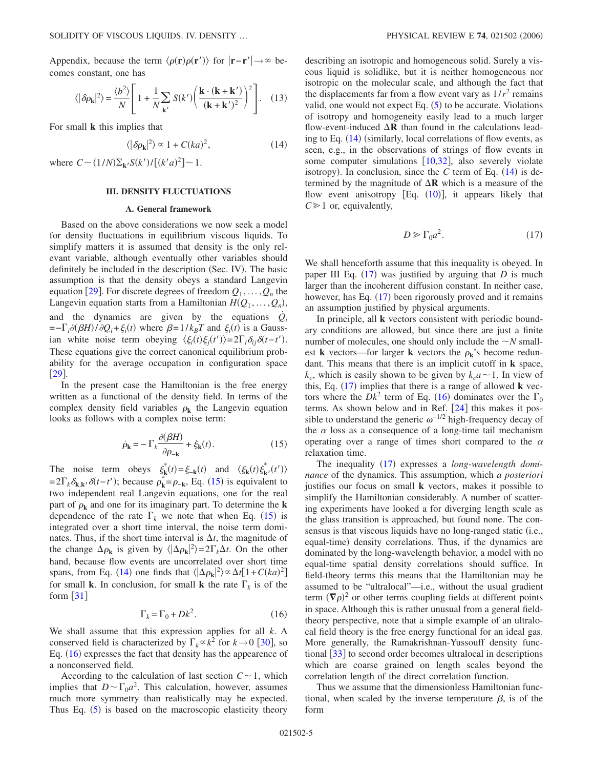Appendix, because the term  $\langle \rho(\mathbf{r}) \rho(\mathbf{r'}) \rangle$  for  $|\mathbf{r} - \mathbf{r'}| \rightarrow \infty$  becomes constant, one has

$$
\langle |\delta \rho_{\mathbf{k}}|^2 \rangle = \frac{\langle b^2 \rangle}{N} \left[ 1 + \frac{1}{N} \sum_{\mathbf{k}'} S(k') \left( \frac{\mathbf{k} \cdot (\mathbf{k} + \mathbf{k}')}{(\mathbf{k} + \mathbf{k}')^2} \right)^2 \right]. \quad (13)
$$

<span id="page-4-1"></span>For small **k** this implies that

$$
\langle |\delta \rho_{\mathbf{k}}|^2 \rangle \propto 1 + C(ka)^2,\tag{14}
$$

where  $C \sim (1/N)\Sigma_{\mathbf{k}'} S(k') / [(k'a)^2] \sim 1$ .

#### **III. DENSITY FLUCTUATIONS**

### **A. General framework**

Based on the above considerations we now seek a model for density fluctuations in equilibrium viscous liquids. To simplify matters it is assumed that density is the only relevant variable, although eventually other variables should definitely be included in the description (Sec. IV). The basic assumption is that the density obeys a standard Langevin equation [[29](#page-8-24)]. For discrete degrees of freedom  $Q_1, \ldots, Q_n$  the Langevin equation starts from a Hamiltonian  $H(Q_1, \ldots, Q_n)$ , and the dynamics are given by the equations  $\dot{Q}_i$  $=-\Gamma_i \partial(\beta H) / \partial Q_i + \xi_i(t)$  where  $\beta = 1/k_B T$  and  $\xi_i(t)$  is a Gaussian white noise term obeying  $\langle \xi_i(t) \xi_j(t') \rangle = 2 \Gamma_i \delta_{ij} \delta(t-t')$ . These equations give the correct canonical equilibrium probability for the average occupation in configuration space  $[29]$  $[29]$  $[29]$ 

In the present case the Hamiltonian is the free energy written as a functional of the density field. In terms of the complex density field variables  $\rho_k$  the Langevin equation looks as follows with a complex noise term:

$$
\dot{\rho}_{\mathbf{k}} = -\Gamma_k \frac{\partial(\beta H)}{\partial \rho_{-\mathbf{k}}} + \xi_{\mathbf{k}}(t). \tag{15}
$$

<span id="page-4-0"></span>The noise term obeys  $\xi_k^*(t) = \xi_{-k}(t)$  and  $\langle \xi_k(t) \xi_{k'}^*(t') \rangle$  $= 2\Gamma_k \delta_{\mathbf{k},\mathbf{k'}} \delta(t-t')$ ; because  $\rho_{\mathbf{k}}^* = \rho_{-\mathbf{k}}$ , Eq. ([15](#page-4-0)) is equivalent to two independent real Langevin equations, one for the real part of  $\rho_k$  and one for its imaginary part. To determine the **k** dependence of the rate  $\Gamma_k$  we note that when Eq. ([15](#page-4-0)) is integrated over a short time interval, the noise term dominates. Thus, if the short time interval is  $\Delta t$ , the magnitude of the change  $\Delta \rho_{\mathbf{k}}$  is given by  $\langle |\Delta \rho_{\mathbf{k}}|^2 \rangle = 2\Gamma_k \Delta t$ . On the other hand, because flow events are uncorrelated over short time spans, from Eq. ([14](#page-4-1)) one finds that  $\langle |\Delta \rho_{\mathbf{k}}|^2 \rangle \propto \Delta t [1 + C(ka)^2]$ for small **k**. In conclusion, for small **k** the rate  $\Gamma_k$  is of the form  $\lfloor 31 \rfloor$  $\lfloor 31 \rfloor$  $\lfloor 31 \rfloor$ 

$$
\Gamma_k = \Gamma_0 + Dk^2. \tag{16}
$$

<span id="page-4-2"></span>We shall assume that this expression applies for all *k*. A conserved field is characterized by  $\Gamma_k \propto k^2$  for  $k \to 0$  [[30](#page-8-25)], so Eq. ([16](#page-4-2)) expresses the fact that density has the appearence of a nonconserved field.

According to the calculation of last section  $C \sim 1$ , which implies that  $D \sim \Gamma_0 a^2$ . This calculation, however, assumes much more symmetry than realistically may be expected. Thus Eq.  $(5)$  $(5)$  $(5)$  is based on the macroscopic elasticity theory

describing an isotropic and homogeneous solid. Surely a viscous liquid is solidlike, but it is neither homogeneous nor isotropic on the molecular scale, and although the fact that the displacements far from a flow event vary as  $1/r^2$  remains valid, one would not expect Eq.  $(5)$  $(5)$  $(5)$  to be accurate. Violations of isotropy and homogeneity easily lead to a much larger flow-event-induced  $\Delta \mathbf{R}$  than found in the calculations lead-ing to Eq. ([14](#page-4-1)) (similarly, local correlations of flow events, as seen, e.g., in the observations of strings of flow events in some computer simulations  $[10,32]$  $[10,32]$  $[10,32]$  $[10,32]$ , also severely violate isotropy). In conclusion, since the  $C$  term of Eq.  $(14)$  $(14)$  $(14)$  is determined by the magnitude of  $\Delta \mathbf{R}$  which is a measure of the flow event anisotropy  $[Eq. (10)]$  $[Eq. (10)]$  $[Eq. (10)]$ , it appears likely that  $C \geq 1$  or, equivalently,

$$
D \ge \Gamma_0 a^2. \tag{17}
$$

<span id="page-4-3"></span>We shall henceforth assume that this inequality is obeyed. In paper III Eq.  $(17)$  $(17)$  $(17)$  was justified by arguing that *D* is much larger than the incoherent diffusion constant. In neither case, however, has Eq. ([17](#page-4-3)) been rigorously proved and it remains an assumption justified by physical arguments.

In principle, all **k** vectors consistent with periodic boundary conditions are allowed, but since there are just a finite number of molecules, one should only include the  $\sim N$  smallest **k** vectors—for larger **k** vectors the  $\rho_k$ 's become redundant. This means that there is an implicit cutoff in **k** space,  $k_c$ , which is easily shown to be given by  $k_c a \sim 1$ . In view of this, Eq.  $(17)$  $(17)$  $(17)$  implies that there is a range of allowed **k** vectors where the  $Dk^2$  term of Eq. ([16](#page-4-2)) dominates over the  $\Gamma_0$ terms. As shown below and in Ref.  $[24]$  $[24]$  $[24]$  this makes it possible to understand the generic  $\omega^{-1/2}$  high-frequency decay of the  $\alpha$  loss as a consequence of a long-time tail mechanism operating over a range of times short compared to the  $\alpha$ relaxation time.

The inequality ([17](#page-4-3)) expresses a *long-wavelength dominance* of the dynamics. This assumption, which *a posteriori* justifies our focus on small **k** vectors, makes it possible to simplify the Hamiltonian considerably. A number of scattering experiments have looked a for diverging length scale as the glass transition is approached, but found none. The consensus is that viscous liquids have no long-ranged static (i.e., equal-time) density correlations. Thus, if the dynamics are dominated by the long-wavelength behavior, a model with no equal-time spatial density correlations should suffice. In field-theory terms this means that the Hamiltonian may be assumed to be "ultralocal"—i.e., without the usual gradient term  $(\nabla \rho)^2$  or other terms coupling fields at different points in space. Although this is rather unusual from a general fieldtheory perspective, note that a simple example of an ultralocal field theory is the free energy functional for an ideal gas. More generally, the Ramakrishnan-Yussouff density func-tional [[33](#page-8-27)] to second order becomes ultralocal in descriptions which are coarse grained on length scales beyond the correlation length of the direct correlation function.

Thus we assume that the dimensionless Hamiltonian functional, when scaled by the inverse temperature  $\beta$ , is of the form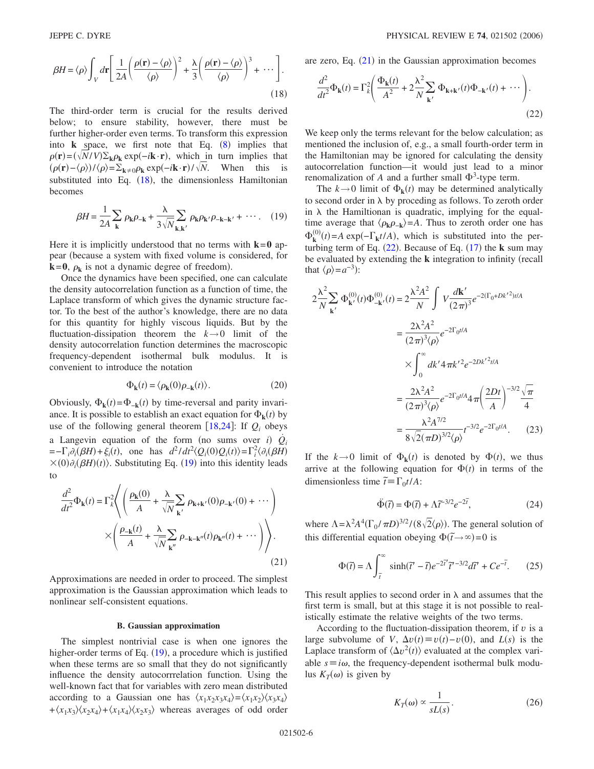<span id="page-5-0"></span>
$$
\beta H = \langle \rho \rangle \int_{V} d\mathbf{r} \left[ \frac{1}{2A} \left( \frac{\rho(\mathbf{r}) - \langle \rho \rangle}{\langle \rho \rangle} \right)^{2} + \frac{\lambda}{3} \left( \frac{\rho(\mathbf{r}) - \langle \rho \rangle}{\langle \rho \rangle} \right)^{3} + \cdots \right].
$$
\n(18)

The third-order term is crucial for the results derived below; to ensure stability, however, there must be further higher-order even terms. To transform this expression into  $\bf{k}$  space, we first note that Eq.  $(8)$  $(8)$  $(8)$  implies that  $\rho(\mathbf{r}) = (\sqrt{N/V})\sum_{\mathbf{k}} \rho_{\mathbf{k}} \exp(-i\mathbf{k}\cdot\mathbf{r})$ , which in turn implies that  $(\rho(\mathbf{r}) - \langle \rho \rangle)/\langle \rho \rangle = \sum_{\mathbf{k} \neq 0} \rho_{\mathbf{k}} \exp(-i\mathbf{k} \cdot \mathbf{r})/\sqrt{N}$ . When this is substituted into Eq.  $(18)$  $(18)$  $(18)$ , the dimensionless Hamiltonian becomes

<span id="page-5-1"></span>
$$
\beta H = \frac{1}{2A} \sum_{\mathbf{k}} \rho_{\mathbf{k}} \rho_{-\mathbf{k}} + \frac{\lambda}{3\sqrt{N}} \sum_{\mathbf{k},\mathbf{k'}} \rho_{\mathbf{k}} \rho_{\mathbf{k'}} \rho_{-\mathbf{k}-\mathbf{k'}} + \cdots. \quad (19)
$$

Here it is implicitly understood that no terms with  $k=0$  appear (because a system with fixed volume is considered, for  $k=0$ ,  $\rho_k$  is not a dynamic degree of freedom).

Once the dynamics have been specified, one can calculate the density autocorrelation function as a function of time, the Laplace transform of which gives the dynamic structure factor. To the best of the author's knowledge, there are no data for this quantity for highly viscous liquids. But by the fluctuation-dissipation theorem the  $k \rightarrow 0$  limit of the density autocorrelation function determines the macroscopic frequency-dependent isothermal bulk modulus. It is convenient to introduce the notation

$$
\Phi_{\mathbf{k}}(t) = \langle \rho_{\mathbf{k}}(0)\rho_{-\mathbf{k}}(t) \rangle.
$$
 (20)

Obviously,  $\Phi_{\mathbf{k}}(t) = \Phi_{-\mathbf{k}}(t)$  by time-reversal and parity invariance. It is possible to establish an exact equation for  $\Phi_{\bf k}(t)$  by use of the following general theorem  $[18,24]$  $[18,24]$  $[18,24]$  $[18,24]$ : If  $Q_i$  obeys a Langevin equation of the form (no sums over *i*)  $\dot{Q}_i$  $=-\Gamma_i \partial_i (\beta H) + \xi_i(t)$ , one has  $d^2/dt^2 \langle Q_i(0)Q_i(t) \rangle = \Gamma_i^2 \langle \partial_i(\beta H) \rangle$  $\times$ (0) $\partial_i(\beta H)(t)$ . Substituting Eq. ([19](#page-5-1)) into this identity leads to

<span id="page-5-2"></span>
$$
\frac{d^2}{dt^2}\Phi_{\mathbf{k}}(t) = \Gamma_k^2 \Bigg\langle \left(\frac{\rho_{\mathbf{k}}(0)}{A} + \frac{\lambda}{\sqrt{N}} \sum_{\mathbf{k'}} \rho_{\mathbf{k}+\mathbf{k'}}(0)\rho_{-\mathbf{k'}}(0) + \cdots \right) \times \left(\frac{\rho_{-\mathbf{k}}(t)}{A} + \frac{\lambda}{\sqrt{N}} \sum_{\mathbf{k''}} \rho_{-\mathbf{k}-\mathbf{k''}}(t)\rho_{\mathbf{k''}}(t) + \cdots \right) \Bigg\rangle. \tag{21}
$$

Approximations are needed in order to proceed. The simplest approximation is the Gaussian approximation which leads to nonlinear self-consistent equations.

# **B. Gaussian approximation**

The simplest nontrivial case is when one ignores the higher-order terms of Eq.  $(19)$  $(19)$  $(19)$ , a procedure which is justified when these terms are so small that they do not significantly influence the density autocorrrelation function. Using the well-known fact that for variables with zero mean distributed according to a Gaussian one has  $\langle x_1 x_2 x_3 x_4 \rangle = \langle x_1 x_2 \rangle \langle x_3 x_4 \rangle$  $+\langle x_1x_3\rangle\langle x_2x_4\rangle+\langle x_1x_4\rangle\langle x_2x_3\rangle$  whereas averages of odd order <span id="page-5-3"></span>are zero, Eq.  $(21)$  $(21)$  $(21)$  in the Gaussian approximation becomes

$$
\frac{d^2}{dt^2}\Phi_{\mathbf{k}}(t) = \Gamma_k^2 \left( \frac{\Phi_{\mathbf{k}}(t)}{A^2} + 2\frac{\lambda^2}{N} \sum_{\mathbf{k}'} \Phi_{\mathbf{k}+\mathbf{k}'}(t)\Phi_{-\mathbf{k}'}(t) + \cdots \right). \tag{22}
$$

We keep only the terms relevant for the below calculation; as mentioned the inclusion of, e.g., a small fourth-order term in the Hamiltonian may be ignored for calculating the density autocorrelation function—it would just lead to a minor renomalization of  $A$  and a further small  $\Phi$ <sup>3</sup>-type term.

The  $k \rightarrow 0$  limit of  $\Phi_{k}(t)$  may be determined analytically to second order in  $\lambda$  by proceding as follows. To zeroth order in  $\lambda$  the Hamiltionan is quadratic, implying for the equaltime average that  $\langle \rho_k \rho_{-k} \rangle = A$ . Thus to zeroth order one has  $\Phi_{\mathbf{k}}^{(0)}(t) = A \exp(-\Gamma_{\mathbf{k}}t/A)$ , which is substituted into the perturbing term of Eq.  $(22)$  $(22)$  $(22)$ . Because of Eq.  $(17)$  $(17)$  $(17)$  the **k** sum may be evaluated by extending the **k** integration to infinity (recall that  $\langle \rho \rangle = a^{-3}$ :

$$
2\frac{\lambda^{2}}{N} \sum_{\mathbf{k}'} \Phi_{\mathbf{k}'}^{(0)}(t) \Phi_{-\mathbf{k}'}^{(0)}(t) = 2\frac{\lambda^{2} A^{2}}{N} \int V \frac{d\mathbf{k}'}{(2\pi)^{3}} e^{-2(\Gamma_{0} + Dk'^{2})t/A}
$$
  

$$
= \frac{2\lambda^{2} A^{2}}{(2\pi)^{3} \langle \rho \rangle} e^{-2\Gamma_{0} t/A}
$$
  

$$
\times \int_{0}^{\infty} dk' 4\pi k'^{2} e^{-2Dk'^{2} t/A}
$$
  

$$
= \frac{2\lambda^{2} A^{2}}{(2\pi)^{3} \langle \rho \rangle} e^{-2\Gamma_{0} t/A} 4\pi \left(\frac{2Dt}{A}\right)^{-3/2} \frac{\sqrt{\pi}}{4}
$$
  

$$
= \frac{\lambda^{2} A^{7/2}}{8\sqrt{2} (\pi D)^{3/2} \langle \rho \rangle} t^{-3/2} e^{-2\Gamma_{0} t/A}.
$$
 (23)

If the  $k \to 0$  limit of  $\Phi_{\mathbf{k}}(t)$  is denoted by  $\Phi(t)$ , we thus arrive at the following equation for  $\Phi(t)$  in terms of the dimensionless time  $\tilde{t} = \Gamma_0 t / A$ :

$$
\ddot{\Phi}(\tilde{t}) = \Phi(\tilde{t}) + \Lambda \tilde{t}^{-3/2} e^{-2\tilde{t}}, \qquad (24)
$$

<span id="page-5-4"></span>where  $\Lambda = \lambda^2 A^4 (\Gamma_0 / \pi D)^{3/2} / (8 \sqrt{2} \langle \rho \rangle)$ . The general solution of this differential equation obeying  $\Phi(\vec{t} \rightarrow \infty) = 0$  is

$$
\Phi(\tilde{t}) = \Lambda \int_{\tilde{t}}^{\infty} \sinh(\tilde{t}' - \tilde{t}) e^{-2\tilde{t}' \tilde{t}' - 3/2} d\tilde{t}' + Ce^{-\tilde{t}}.
$$
 (25)

This result applies to second order in  $\lambda$  and assumes that the first term is small, but at this stage it is not possible to realistically estimate the relative weights of the two terms.

According to the fluctuation-dissipation theorem, if *v* is a large subvolume of *V*,  $\Delta v(t) \equiv v(t) - v(0)$ , and *L(s)* is the Laplace transform of  $\langle \Delta v^2(t) \rangle$  evaluated at the complex variable  $s \equiv i\omega$ , the frequency-dependent isothermal bulk modulus  $K_T(\omega)$  is given by

$$
K_T(\omega) \propto \frac{1}{sL(s)}.\tag{26}
$$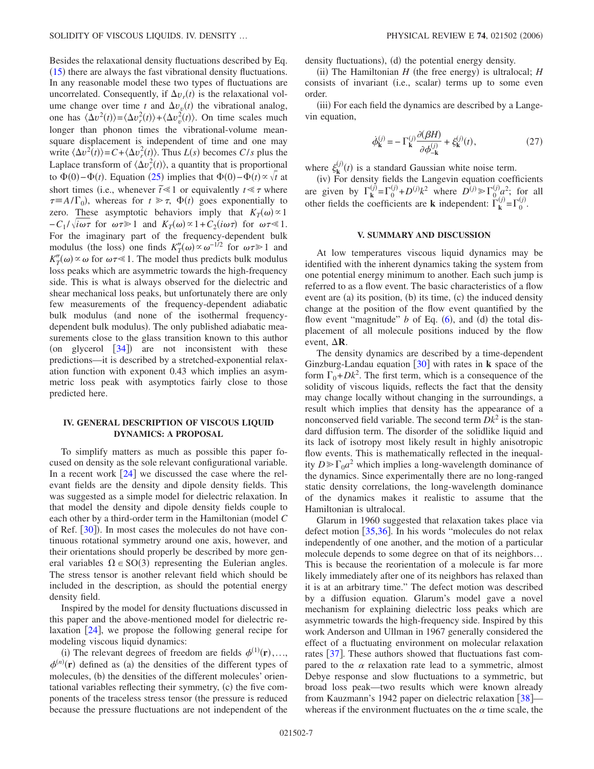Besides the relaxational density fluctuations described by Eq.  $(15)$  $(15)$  $(15)$  there are always the fast vibrational density fluctuations. In any reasonable model these two types of fluctuations are uncorrelated. Consequently, if  $\Delta v_r(t)$  is the relaxational volume change over time *t* and  $\Delta v_y(t)$  the vibrational analog, one has  $\langle \Delta v^2(t) \rangle = \langle \Delta v_r^2(t) \rangle + \langle \Delta v_v^2(t) \rangle$ . On time scales much longer than phonon times the vibrational-volume meansquare displacement is independent of time and one may write  $\langle \Delta v^2(t) \rangle = C + \langle \Delta v_r^2(t) \rangle$ . Thus *L*(*s*) becomes *C*/*s* plus the Laplace transform of  $\langle \Delta v_r^2(t) \rangle$ , a quantity that is proportional to  $\Phi(0) - \Phi(t)$ . Equation ([25](#page-5-4)) implies that  $\Phi(0) - \Phi(t) \propto \sqrt{t}$  at short times (i.e., whenever  $\tilde{t} \le 1$  or equivalently  $t \le \tau$  where  $\tau \equiv A/\Gamma_0$ ), whereas for  $t \ge \tau$ ,  $\Phi(t)$  goes exponentially to zero. These asymptotic behaviors imply that  $K_T(\omega) \propto 1$  $-C_1/\sqrt{i\omega\tau}$  for  $\omega\tau \gg 1$  and  $K_T(\omega) \propto 1 + C_2(i\omega\tau)$  for  $\omega\tau \ll 1$ . For the imaginary part of the frequency-dependent bulk modulus (the loss) one finds  $K_T''(\omega) \propto \omega^{-1/2}$  for  $\omega \tau \ge 1$  and  $K_T''(\omega) \propto \omega$  for  $\omega \tau \ll 1$ . The model thus predicts bulk modulus loss peaks which are asymmetric towards the high-frequency side. This is what is always observed for the dielectric and shear mechanical loss peaks, but unfortunately there are only few measurements of the frequency-dependent adiabatic bulk modulus (and none of the isothermal frequencydependent bulk modulus). The only published adiabatic measurements close to the glass transition known to this author (on glycerol [[34](#page-8-28)]) are not inconsistent with these predictions—it is described by a stretched-exponential relaxation function with exponent 0.43 which implies an asymmetric loss peak with asymptotics fairly close to those predicted here.

# **IV. GENERAL DESCRIPTION OF VISCOUS LIQUID DYNAMICS: A PROPOSAL**

To simplify matters as much as possible this paper focused on density as the sole relevant configurational variable. In a recent work  $\lceil 24 \rceil$  $\lceil 24 \rceil$  $\lceil 24 \rceil$  we discussed the case where the relevant fields are the density and dipole density fields. This was suggested as a simple model for dielectric relaxation. In that model the density and dipole density fields couple to each other by a third-order term in the Hamiltonian (model C of Ref. [[30](#page-8-25)]). In most cases the molecules do not have continuous rotational symmetry around one axis, however, and their orientations should properly be described by more general variables  $\Omega \in SO(3)$  representing the Eulerian angles. The stress tensor is another relevant field which should be included in the description, as should the potential energy density field.

Inspired by the model for density fluctuations discussed in this paper and the above-mentioned model for dielectric relaxation  $[24]$  $[24]$  $[24]$ , we propose the following general recipe for modeling viscous liquid dynamics:

(i) The relevant degrees of freedom are fields  $\phi^{(1)}(\mathbf{r}),...$  $\phi^{(n)}(\mathbf{r})$  defined as (a) the densities of the different types of molecules, (b) the densities of the different molecules' orientational variables reflecting their symmetry, (c) the five components of the traceless stress tensor (the pressure is reduced because the pressure fluctuations are not independent of the density fluctuations), (d) the potential energy density.

(ii) The Hamiltonian  $H$  (the free energy) is ultralocal;  $H$ consists of invariant (i.e., scalar) terms up to some even order.

(iii) For each field the dynamics are described by a Langevin equation,

$$
\dot{\phi}_{\mathbf{k}}^{(j)} = -\Gamma_{\mathbf{k}}^{(j)} \frac{\partial (\beta H)}{\partial \phi_{-\mathbf{k}}^{(j)}} + \xi_{\mathbf{k}}^{(j)}(t),\tag{27}
$$

where  $\xi_{\mathbf{k}}^{(j)}(t)$  is a standard Gaussian white noise term.

(iv) For density fields the Langevin equation coefficients are given by  $\Gamma_k^{(j)} = \Gamma_0^{(j)} + D^{(j)}k^2$  where  $D^{(j)} \gg \Gamma_0^{(j)}a^2$ ; for all other fields the coefficients are **k** independent:  $\Gamma_k^{(j)} = \Gamma_0^{(j)}$ .

#### **V. SUMMARY AND DISCUSSION**

At low temperatures viscous liquid dynamics may be identified with the inherent dynamics taking the system from one potential energy minimum to another. Each such jump is referred to as a flow event. The basic characteristics of a flow event are (a) its position, (b) its time, (c) the induced density change at the position of the flow event quantified by the flow event "magnitude"  $b$  of Eq.  $(6)$  $(6)$  $(6)$ , and  $(d)$  the total displacement of all molecule positions induced by the flow event,  $\Delta \mathbf{R}$ .

The density dynamics are described by a time-dependent Ginzburg-Landau equation [[30](#page-8-25)] with rates in **k** space of the form  $\Gamma_0 + Dk^2$ . The first term, which is a consequence of the solidity of viscous liquids, reflects the fact that the density may change locally without changing in the surroundings, a result which implies that density has the appearance of a nonconserved field variable. The second term  $Dk^2$  is the standard diffusion term. The disorder of the solidlike liquid and its lack of isotropy most likely result in highly anisotropic flow events. This is mathematically reflected in the inequality  $D \ge \Gamma_0 a^2$  which implies a long-wavelength dominance of the dynamics. Since experimentally there are no long-ranged static density correlations, the long-wavelength dominance of the dynamics makes it realistic to assume that the Hamiltonian is ultralocal.

Glarum in 1960 suggested that relaxation takes place via defect motion  $[35,36]$  $[35,36]$  $[35,36]$  $[35,36]$ . In his words "molecules do not relax independently of one another, and the motion of a particular molecule depends to some degree on that of its neighbors... This is because the reorientation of a molecule is far more likely immediately after one of its neighbors has relaxed than it is at an arbitrary time." The defect motion was described by a diffusion equation. Glarum's model gave a novel mechanism for explaining dielectric loss peaks which are asymmetric towards the high-frequency side. Inspired by this work Anderson and Ullman in 1967 generally considered the effect of a fluctuating environment on molecular relaxation rates  $\lceil 37 \rceil$  $\lceil 37 \rceil$  $\lceil 37 \rceil$ . These authors showed that fluctuations fast compared to the  $\alpha$  relaxation rate lead to a symmetric, almost Debye response and slow fluctuations to a symmetric, but broad loss peak—two results which were known already from Kauzmann's 1942 paper on dielectric relaxation [[38](#page-8-32)] whereas if the environment fluctuates on the  $\alpha$  time scale, the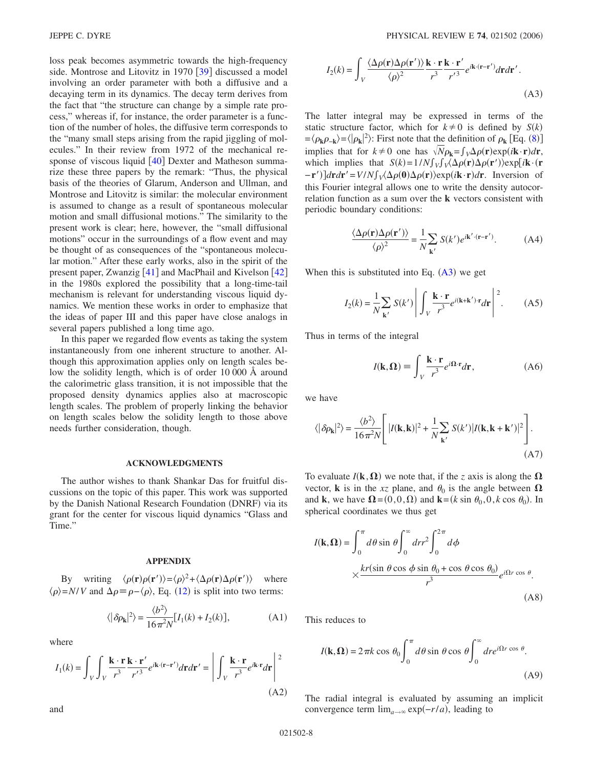loss peak becomes asymmetric towards the high-frequency side. Montrose and Litovitz in 1970 [[39](#page-8-33)] discussed a model involving an order parameter with both a diffusive and a decaying term in its dynamics. The decay term derives from the fact that "the structure can change by a simple rate process," whereas if, for instance, the order parameter is a function of the number of holes, the diffusive term corresponds to the "many small steps arising from the rapid jiggling of molecules." In their review from 1972 of the mechanical response of viscous liquid  $\left[40\right]$  $\left[40\right]$  $\left[40\right]$  Dexter and Matheson summarize these three papers by the remark: "Thus, the physical basis of the theories of Glarum, Anderson and Ullman, and Montrose and Litovitz is similar: the molecular environment is assumed to change as a result of spontaneous molecular motion and small diffusional motions." The similarity to the present work is clear; here, however, the "small diffusional motions" occur in the surroundings of a flow event and may be thought of as consequences of the "spontaneous molecular motion." After these early works, also in the spirit of the present paper, Zwanzig  $[41]$  $[41]$  $[41]$  and MacPhail and Kivelson  $[42]$  $[42]$  $[42]$ in the 1980s explored the possibility that a long-time-tail mechanism is relevant for understanding viscous liquid dynamics. We mention these works in order to emphasize that the ideas of paper III and this paper have close analogs in several papers published a long time ago.

In this paper we regarded flow events as taking the system instantaneously from one inherent structure to another. Although this approximation applies only on length scales below the solidity length, which is of order 10 000 Å around the calorimetric glass transition, it is not impossible that the proposed density dynamics applies also at macroscopic length scales. The problem of properly linking the behavior on length scales below the solidity length to those above needs further consideration, though.

## **ACKNOWLEDGMENTS**

The author wishes to thank Shankar Das for fruitful discussions on the topic of this paper. This work was supported by the Danish National Research Foundation (DNRF) via its grant for the center for viscous liquid dynamics "Glass and Time."

#### **APPENDIX**

By writing  $\langle \rho(\mathbf{r}) \rho(\mathbf{r'}) \rangle = \langle \rho \rangle^2 + \langle \Delta \rho(\mathbf{r}) \Delta \rho(\mathbf{r'}) \rangle$  where  $\langle \rho \rangle$ =*N/V* and  $\Delta \rho \equiv \rho - \langle \rho \rangle$ , Eq. ([12](#page-3-4)) is split into two terms:

$$
\langle |\delta \rho_{\mathbf{k}}|^2 \rangle = \frac{\langle b^2 \rangle}{16\pi^2 N} [I_1(k) + I_2(k)], \tag{A1}
$$

where

$$
I_1(k) = \int_V \int_V \frac{\mathbf{k} \cdot \mathbf{r}}{r^3} \frac{\mathbf{k} \cdot \mathbf{r}'}{r'^3} e^{i\mathbf{k} \cdot (\mathbf{r} - \mathbf{r}')} dr dr' = \left| \int_V \frac{\mathbf{k} \cdot \mathbf{r}}{r^3} e^{i\mathbf{k} \cdot \mathbf{r}} dr \right|^2
$$
\n(A2)

<span id="page-7-0"></span>
$$
I_2(k) = \int_V \frac{\langle \Delta \rho(\mathbf{r}) \Delta \rho(\mathbf{r}') \rangle}{\langle \rho \rangle^2} \frac{\mathbf{k} \cdot \mathbf{r}}{r^3} \frac{\mathbf{k} \cdot \mathbf{r}'}{r'^3} e^{i\mathbf{k} \cdot (\mathbf{r} - \mathbf{r}')} d\mathbf{r} d\mathbf{r}'.
$$
\n(A3)

The latter integral may be expressed in terms of the static structure factor, which for  $k \neq 0$  is defined by  $S(k)$  $=\langle \rho_k \rho_{-k} \rangle = \langle |\rho_k|^2 \rangle$ : First note that the definition of  $\rho_k$  [Eq. ([8](#page-3-3))] implies that for  $k \neq 0$  one has  $\sqrt{N} \rho_k = \int_V \Delta \rho(\mathbf{r}) \exp(i\mathbf{k} \cdot \mathbf{r}) d\mathbf{r}$ , which implies that  $S(k) = 1/N \int_V \int_V \Delta \rho(\mathbf{r}) \Delta \rho(\mathbf{r'})$  exp[*i***k**·**(r** *−***<b>r**<sup>'</sup>)*d***<b>r**<sup>*t*</sup>=*V*/*N***∫**<sub>*V*</sub></sub> $\Delta \rho$ **(0**) $\Delta \rho$ **(r**) $\rangle$ exp(*i***k**·**r**)*d***r**. Inversion of this Fourier integral allows one to write the density autocorrelation function as a sum over the **k** vectors consistent with periodic boundary conditions:

$$
\frac{\langle \Delta \rho(\mathbf{r}) \Delta \rho(\mathbf{r}') \rangle}{\langle \rho \rangle^2} = \frac{1}{N} \sum_{\mathbf{k}'} S(k') e^{i\mathbf{k}' \cdot (\mathbf{r} - \mathbf{r}')}.
$$
 (A4)

When this is substituted into Eq.  $(A3)$  $(A3)$  $(A3)$  we get

$$
I_2(k) = \frac{1}{N} \sum_{\mathbf{k'}} S(k') \left| \int_V \frac{\mathbf{k} \cdot \mathbf{r}}{r^3} e^{i(\mathbf{k} + \mathbf{k'}) \cdot \mathbf{r}} d\mathbf{r} \right|^2.
$$
 (A5)

Thus in terms of the integral

$$
I(\mathbf{k}, \Omega) \equiv \int_{V} \frac{\mathbf{k} \cdot \mathbf{r}}{r^3} e^{i\Omega \cdot \mathbf{r}} d\mathbf{r},
$$
 (A6)

we have

<span id="page-7-1"></span>
$$
\langle |\delta \rho_{\mathbf{k}}|^2 \rangle = \frac{\langle b^2 \rangle}{16\pi^2 N} \Bigg[ |I(\mathbf{k}, \mathbf{k})|^2 + \frac{1}{N} \sum_{\mathbf{k'}} S(k') |I(\mathbf{k}, \mathbf{k} + \mathbf{k'})|^2 \Bigg]. \tag{A7}
$$

To evaluate  $I(\mathbf{k}, \mathbf{\Omega})$  we note that, if the *z* axis is along the  $\mathbf{\Omega}$ vector, **k** is in the *xz* plane, and  $\theta_0$  is the angle between  $\Omega$ and **k**, we have  $\Omega = (0, 0, \Omega)$  and **k** = (*k* sin  $\theta_0$ , 0, *k* cos  $\theta_0$ ). In spherical coordinates we thus get

$$
I(\mathbf{k}, \Omega) = \int_0^{\pi} d\theta \sin \theta \int_0^{\infty} dr r^2 \int_0^{2\pi} d\phi
$$
  
 
$$
\times \frac{kr(\sin \theta \cos \phi \sin \theta_0 + \cos \theta \cos \theta_0)}{r^3} e^{i\Omega r \cos \theta}.
$$
 (A8)

This reduces to

$$
I(\mathbf{k}, \Omega) = 2\pi k \cos \theta_0 \int_0^{\pi} d\theta \sin \theta \cos \theta \int_0^{\infty} dr e^{i\Omega r \cos \theta}.
$$
\n(A9)

The radial integral is evaluated by assuming an implicit convergence term  $\lim_{a\to\infty} \exp(-r/a)$ , leading to

and